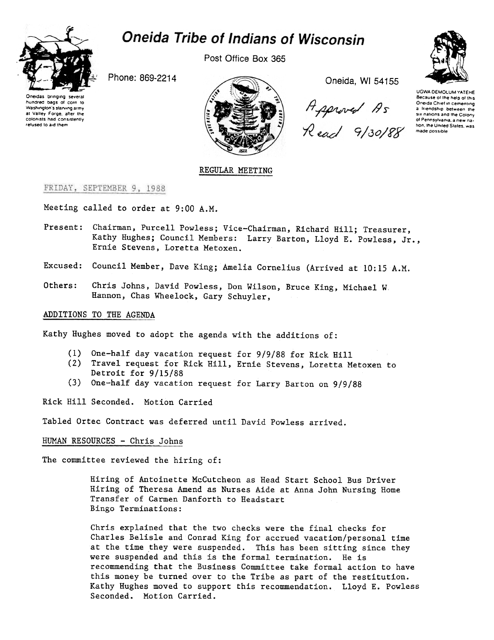

# **Oneida Tribe of Indians of Wisconsin**

Post Office Box 365

Oneidas bringing several hundred bags of corn to Washington's starving army at Valley Forge, after the colonists had consistently refused 10 a.d Ihem



Approved As<br>Read 9/30/88



UGWA DEMOLUM YATEHE Because of the help of this Oneida Chief in cementing a *Iriendship* between the six nations and the Colony of Pennsylvania, a new nation, the United States, was made possible

# REGULAR MEETING

# FRIDAY, SEPTEMBER 9, 1988

Meeting called to order at 9:00 A.M.

- Present: Chairman, Purcell Powless; Vice-Chairman, Richard Hill; Treasurer, Kathy Hughes; Council Members: Larry Barton, Lloyd E. Powless, Jr., Ernie Stevens, Loretta Metoxen.
- Excused: Council Member, Dave King; Amelia Cornelius (Arrived at 10:15 A.M.
- Others: Chris Johns, David Powless, Don Wilson, Bruce King, Michael W Hannon, Chas Wheelock, Gary Schuyler,

#### ADDITIONS TO THE AGENDA

Kathy Hughes moved to adopt the agenda with the additions of:

- (1) One-half day vacation request for 9/9/88 for Rick Hi
- (2) Travel request for Rick Hill, Ernie Stevens, Loretta Metoxen t Detroit for 9/15/88
- (3) One-half day vacation request for Larry Barton on 9/9/88

Rick Hill Seconded. Motion Carried

Tabled Ortec Contract was deferred until David Powless arrived.

#### HUMAN RESOURCES - Chris Johns

The committee reviewed the hiring of:

Hiring of Antoinette McCutcheon as Head Start School Bus Driver Hiring of Theresa Amend as Nurses Aide at Anna John Nursing Home Transfer of Carmen Danforth to Headstart Bingo Terminations:

Chris explained that the two checks were the final checks for Charles Belisle and Conrad King for accrued vacation/personal time at the time they were suspended. This has been sitting since they were suspended and this is the formal termination. He is recommending that the Business Committee take formal action to have this money be turned over to the Tribe as part of the restitution. Kathy Hughes moved to support this recommendation. Lloyd E. Powless Seconded. Motion Carried.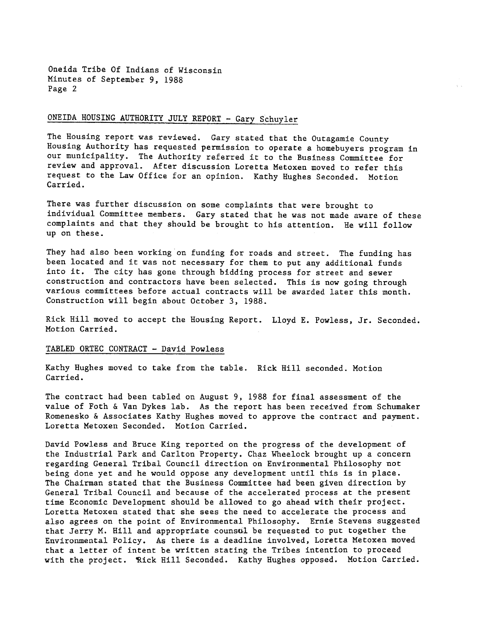Oneida Tribe Of Indians of Wisconsin Minutes of September 9. 1988 Page 2

# ONEIDA HOUSING AUTHORITY JULY REPORT - Gary Schuyler

The Housing report was reviewed. Gary stated that the Outagamie County Housing Authority has requested permission to operate a homebuyers program in our municipality. The Authority referred it to the Business Committee for review and approval. After discussion Loretta Metoxen moved to refer this request to the Law Office for an opinion. Kathy Hughes Seconded. Motion Carried.

There was further discussion on some complaints that were brought to individual Committee members. Gary stated that he was not made aware of these complaints and that they should be brought to his attention. He will follow up on these.

They had also been working on funding for roads and street. The funding has been located and it was not necessary for them to put any additional funds into it. The city has gone through bidding process for street and sewer construction and contractors have been selected. This is now going through various committees before actual contracts will be awarded later this month. Construction will begin about October 3, 1988.

Rick Hill moved to accept the Housing Report. Lloyd E. Powless, Jr. Seconded. Motion Carried.

#### TABLED ORTEC CONTRACT - David Powless

Kathy Hughes moved to take from the table. Rick Hill seconded. Motio Carried.

The contract had been tabled on August 9, 1988 for final assessment of the value of Foth & Van Dykes lab. As the report has been received from Schumaker Romenesko & Associates Kathy Hughes moved to approve the contract and payment. Loretta Metoxen Seconded. Motion Carried.

David Powless and Bruce King reported on the progress of the development of the Industrial Park and Carlton Property. Chaz Wheelock brought up a concern regarding General Tribal Council direction on Environmental Philosophy not being done yet and he would oppose any development until this is in place. The Chairman stated that the Business Committee had been given direction by General Tribal Council and because of the accelerated process at the present time Economic Development should be allowed to go ahead with their project. Loretta Metoxen stated that she sees the need to accelerate the process and also agrees on the point of Environmental Philosophy. Ernie Stevens suggested that Jerry M. Hill and appropriate counsul be requested to put together the Environmental Policy. As there is a deadline involved, Loretta Metoxen moved that a letter of intent be written stating the Tribes intention to proceed with the project. Rick Hill Seconded. Kathy Hughes opposed. Motion Carried.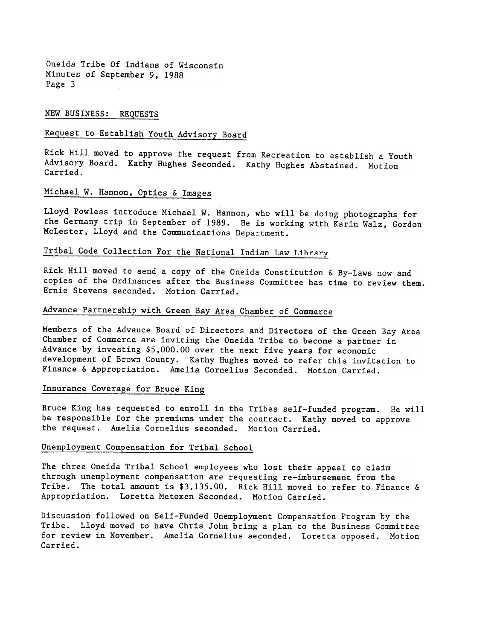Oneida Tribe Of Indians of Wisconsin Minutes of September 9, 1988 Page 3

# NEW BUSINESS: REQUESTS

# Request to Establish Youth Advisory Board

Rick Hill moved to approve the request from Recreation to establish a Youth Advisory Board. Kathy Hughes Seconded. Kathy Hughes Abstained. Motion Carried.

# Michael W. Hannon, Optics & Images

Lloyd Powless introduce Michael W. Hannon, who will be doing photographs for the Germany trip in September of 1989. He is working with Karin Walz, Gordon McLester, Lloyd and the Communications Department.

# Tribal Code Collection For the National Indian Law Library

Rick Hill moved to send a copy of the Oneida Constitution & By-Laws now and copies of the Ordinances after the Business Committee has time to review them. Ernie Stevens seconded. Motion Carried.

# Advance Partnership with Green Bay Area Chamber of Commerce

Members of the Advance Board of Directors and Directors of the Green Bay Area Chamber of Commerce are inviting the Oneida Tribe to become a partner in Advance by investing \$5,000.00 over the next five years for economic development of Brown County. Kathy Hughes moved to refer this invitation to Finance & Appropriation. Amelia Cornelius Seconded. Motion Carried.

#### Insurance Coverage for Bruce King

Bruce King has requested to enroll in the Tribes self-funded program. He will be responsible for the premiums under the contract. Kathy moved to approve the request. Amelia Cornelius seconded. Motion Carried.

# Unemployment Compensation for Tribal School

The three Oneida Tribal School employees who lost their appeal to claim through unemployment compensation are requesting re-imbursement from the Tribe. The total amount is  $$3,135.00$ . Rick Hill moved to refer to Finance & Appropriation. Loretta Metoxen Seconded. Motion Carried.

Discussion followed on Self-Funded Unemployment Compensation Program by the Lloyd moved to have Chris John bring a plan to the Business Committee for review in November. Amelia Cornelius seconded. Loretta opposed. Motion Carried.